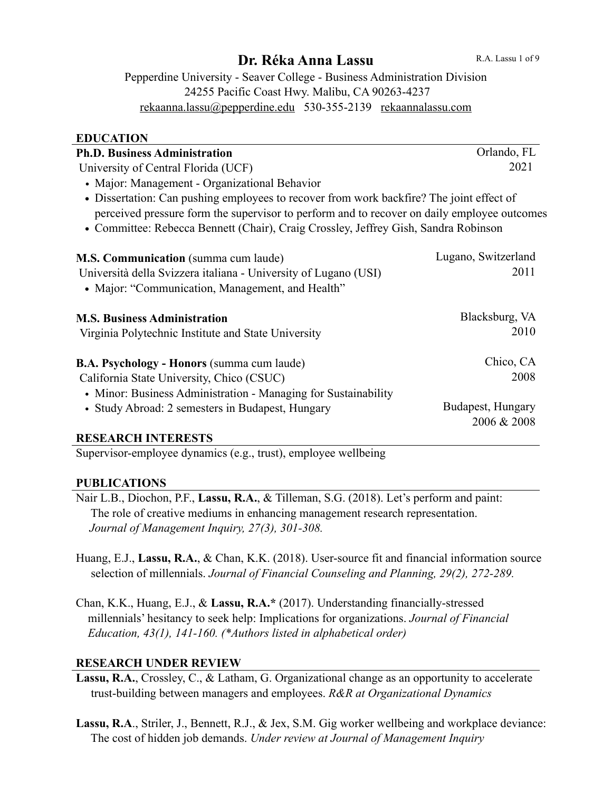# **Dr. Réka Anna Lassu**

Pepperdine University - Seaver College - Business Administration Division 24255 Pacific Coast Hwy. Malibu, CA 90263-4237 [rekaanna.lassu@pepperdine.edu](mailto:rekaanna.lassu@pepperdine.edu) 530-355-2139 [rekaannalassu.com](http://rekaannalassu.com)

#### **EDUCATION**

| <b>Ph.D. Business Administration</b>                                                        | Orlando, FL         |
|---------------------------------------------------------------------------------------------|---------------------|
| University of Central Florida (UCF)                                                         | 2021                |
| • Major: Management - Organizational Behavior                                               |                     |
| • Dissertation: Can pushing employees to recover from work backfire? The joint effect of    |                     |
| perceived pressure form the supervisor to perform and to recover on daily employee outcomes |                     |
| • Committee: Rebecca Bennett (Chair), Craig Crossley, Jeffrey Gish, Sandra Robinson         |                     |
| M.S. Communication (summa cum laude)                                                        | Lugano, Switzerland |
| Università della Svizzera italiana - University of Lugano (USI)                             | 2011                |
| • Major: "Communication, Management, and Health"                                            |                     |
| <b>M.S. Business Administration</b>                                                         | Blacksburg, VA      |
| Virginia Polytechnic Institute and State University                                         | 2010                |
| <b>B.A. Psychology - Honors (summa cum laude)</b>                                           | Chico, CA           |
| California State University, Chico (CSUC)                                                   | 2008                |
| • Minor: Business Administration - Managing for Sustainability                              |                     |
| • Study Abroad: 2 semesters in Budapest, Hungary                                            | Budapest, Hungary   |
|                                                                                             | 2006 & 2008         |
| <b>RESEARCH INTERESTS</b>                                                                   |                     |

Supervisor-employee dynamics (e.g., trust), employee wellbeing

#### **PUBLICATIONS**

Nair L.B., Diochon, P.F., **Lassu, R.A.**, & Tilleman, S.G. (2018). Let's perform and paint: The role of creative mediums in enhancing management research representation. *Journal of Management Inquiry, 27(3), 301-308.* 

Huang, E.J., **Lassu, R.A.**, & Chan, K.K. (2018). User-source fit and financial information source selection of millennials. *Journal of Financial Counseling and Planning, 29(2), 272-289.*

Chan, K.K., Huang, E.J., & **Lassu, R.A.\*** (2017). Understanding financially-stressed millennials' hesitancy to seek help: Implications for organizations. *Journal of Financial Education, 43(1), 141-160. (\*Authors listed in alphabetical order)*

## **RESEARCH UNDER REVIEW**

- **Lassu, R.A.**, Crossley, C., & Latham, G. Organizational change as an opportunity to accelerate trust-building between managers and employees. *R&R at Organizational Dynamics*
- **Lassu, R.A**., Striler, J., Bennett, R.J., & Jex, S.M. Gig worker wellbeing and workplace deviance: The cost of hidden job demands. *Under review at Journal of Management Inquiry*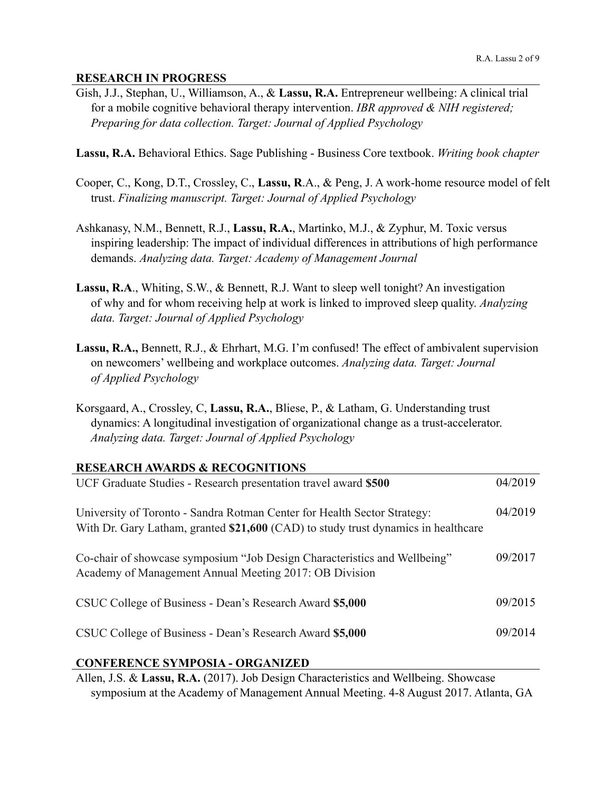#### **RESEARCH IN PROGRESS**

- Gish, J.J., Stephan, U., Williamson, A., & **Lassu, R.A.** Entrepreneur wellbeing: A clinical trial for a mobile cognitive behavioral therapy intervention. *IBR approved & NIH registered; Preparing for data collection. Target: Journal of Applied Psychology*
- **Lassu, R.A.** Behavioral Ethics. Sage Publishing Business Core textbook. *Writing book chapter*
- Cooper, C., Kong, D.T., Crossley, C., **Lassu, R**.A., & Peng, J. A work-home resource model of felt trust. *Finalizing manuscript. Target: Journal of Applied Psychology*
- Ashkanasy, N.M., Bennett, R.J., **Lassu, R.A.**, Martinko, M.J., & Zyphur, M. Toxic versus inspiring leadership: The impact of individual differences in attributions of high performance demands. *Analyzing data. Target: Academy of Management Journal*
- **Lassu, R.A**., Whiting, S.W., & Bennett, R.J. Want to sleep well tonight? An investigation of why and for whom receiving help at work is linked to improved sleep quality. *Analyzing data. Target: Journal of Applied Psychology*
- **Lassu, R.A.,** Bennett, R.J., & Ehrhart, M.G. I'm confused! The effect of ambivalent supervision on newcomers' wellbeing and workplace outcomes. *Analyzing data. Target: Journal of Applied Psychology*
- Korsgaard, A., Crossley, C, **Lassu, R.A.**, Bliese, P., & Latham, G. Understanding trust dynamics: A longitudinal investigation of organizational change as a trust-accelerator.  *Analyzing data. Target: Journal of Applied Psychology*

#### **RESEARCH AWARDS & RECOGNITIONS**

| UCF Graduate Studies - Research presentation travel award \$500                                                                                                | 04/2019 |
|----------------------------------------------------------------------------------------------------------------------------------------------------------------|---------|
| University of Toronto - Sandra Rotman Center for Health Sector Strategy:<br>With Dr. Gary Latham, granted \$21,600 (CAD) to study trust dynamics in healthcare | 04/2019 |
| Co-chair of showcase symposium "Job Design Characteristics and Wellbeing"<br>Academy of Management Annual Meeting 2017: OB Division                            | 09/2017 |
| CSUC College of Business - Dean's Research Award \$5,000                                                                                                       | 09/2015 |
| CSUC College of Business - Dean's Research Award \$5,000                                                                                                       | 09/2014 |
| $\alpha$                                                                                                                                                       |         |

#### **CONFERENCE SYMPOSIA - ORGANIZED**

Allen, J.S. & **Lassu, R.A.** (2017). Job Design Characteristics and Wellbeing. Showcase symposium at the Academy of Management Annual Meeting. 4-8 August 2017. Atlanta, GA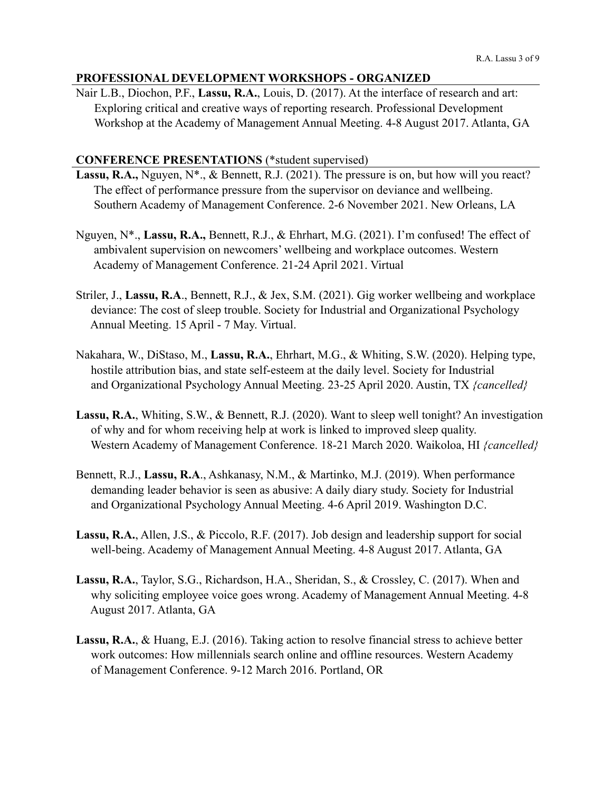## **PROFESSIONAL DEVELOPMENT WORKSHOPS - ORGANIZED**

Nair L.B., Diochon, P.F., **Lassu, R.A.**, Louis, D. (2017). At the interface of research and art: Exploring critical and creative ways of reporting research. Professional Development Workshop at the Academy of Management Annual Meeting. 4-8 August 2017. Atlanta, GA

#### **CONFERENCE PRESENTATIONS** (\*student supervised)

- Lassu, R.A., Nguyen, N<sup>\*</sup>., & Bennett, R.J. (2021). The pressure is on, but how will you react? The effect of performance pressure from the supervisor on deviance and wellbeing. Southern Academy of Management Conference. 2-6 November 2021. New Orleans, LA
- Nguyen, N\*., **Lassu, R.A.,** Bennett, R.J., & Ehrhart, M.G. (2021). I'm confused! The effect of ambivalent supervision on newcomers' wellbeing and workplace outcomes. Western Academy of Management Conference. 21-24 April 2021. Virtual
- Striler, J., **Lassu, R.A**., Bennett, R.J., & Jex, S.M. (2021). Gig worker wellbeing and workplace deviance: The cost of sleep trouble. Society for Industrial and Organizational Psychology Annual Meeting. 15 April - 7 May. Virtual.
- Nakahara, W., DiStaso, M., **Lassu, R.A.**, Ehrhart, M.G., & Whiting, S.W. (2020). Helping type, hostile attribution bias, and state self-esteem at the daily level. Society for Industrial and Organizational Psychology Annual Meeting. 23-25 April 2020. Austin, TX *{cancelled}*
- **Lassu, R.A.**, Whiting, S.W., & Bennett, R.J. (2020). Want to sleep well tonight? An investigation of why and for whom receiving help at work is linked to improved sleep quality. Western Academy of Management Conference. 18-21 March 2020. Waikoloa, HI *{cancelled}*
- Bennett, R.J., **Lassu, R.A**., Ashkanasy, N.M., & Martinko, M.J. (2019). When performance demanding leader behavior is seen as abusive: A daily diary study. Society for Industrial and Organizational Psychology Annual Meeting. 4-6 April 2019. Washington D.C.
- **Lassu, R.A.**, Allen, J.S., & Piccolo, R.F. (2017). Job design and leadership support for social well-being. Academy of Management Annual Meeting. 4-8 August 2017. Atlanta, GA
- **Lassu, R.A.**, Taylor, S.G., Richardson, H.A., Sheridan, S., & Crossley, C. (2017). When and why soliciting employee voice goes wrong. Academy of Management Annual Meeting. 4-8 August 2017. Atlanta, GA
- **Lassu, R.A.**, & Huang, E.J. (2016). Taking action to resolve financial stress to achieve better work outcomes: How millennials search online and offline resources. Western Academy of Management Conference. 9-12 March 2016. Portland, OR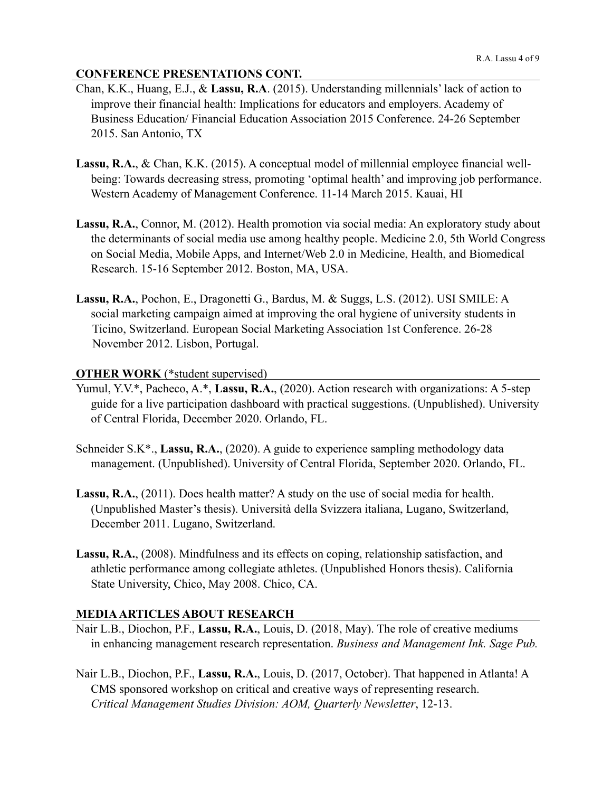## **CONFERENCE PRESENTATIONS CONT.**

- Chan, K.K., Huang, E.J., & **Lassu, R.A**. (2015). Understanding millennials' lack of action to improve their financial health: Implications for educators and employers. Academy of Business Education/ Financial Education Association 2015 Conference. 24-26 September 2015. San Antonio, TX
- **Lassu, R.A.**, & Chan, K.K. (2015). A conceptual model of millennial employee financial well being: Towards decreasing stress, promoting 'optimal health' and improving job performance. Western Academy of Management Conference. 11-14 March 2015. Kauai, HI
- **Lassu, R.A.**, Connor, M. (2012). Health promotion via social media: An exploratory study about the determinants of social media use among healthy people. Medicine 2.0, 5th World Congress on Social Media, Mobile Apps, and Internet/Web 2.0 in Medicine, Health, and Biomedical Research. 15-16 September 2012. Boston, MA, USA.
- **Lassu, R.A.**, Pochon, E., Dragonetti G., Bardus, M. & Suggs, L.S. (2012). USI SMILE: A social marketing campaign aimed at improving the oral hygiene of university students in Ticino, Switzerland. European Social Marketing Association 1st Conference. 26-28 November 2012. Lisbon, Portugal.

## **OTHER WORK** (\*student supervised)

- Yumul, Y.V.\*, Pacheco, A.\*, Lassu, R.A., (2020). Action research with organizations: A 5-step guide for a live participation dashboard with practical suggestions. (Unpublished). University of Central Florida, December 2020. Orlando, FL.
- Schneider S.K\*., **Lassu, R.A.**, (2020). A guide to experience sampling methodology data management. (Unpublished). University of Central Florida, September 2020. Orlando, FL.
- **Lassu, R.A.**, (2011). Does health matter? A study on the use of social media for health. (Unpublished Master's thesis). Università della Svizzera italiana, Lugano, Switzerland, December 2011. Lugano, Switzerland.
- **Lassu, R.A.**, (2008). Mindfulness and its effects on coping, relationship satisfaction, and athletic performance among collegiate athletes. (Unpublished Honors thesis). California State University, Chico, May 2008. Chico, CA.

## **MEDIA ARTICLES ABOUT RESEARCH**

- Nair L.B., Diochon, P.F., **Lassu, R.A.**, Louis, D. (2018, May). The role of creative mediums in enhancing management research representation. *Business and Management Ink. Sage Pub.*
- Nair L.B., Diochon, P.F., **Lassu, R.A.**, Louis, D. (2017, October). That happened in Atlanta! A CMS sponsored workshop on critical and creative ways of representing research. *Critical Management Studies Division: AOM, Quarterly Newsletter*, 12-13.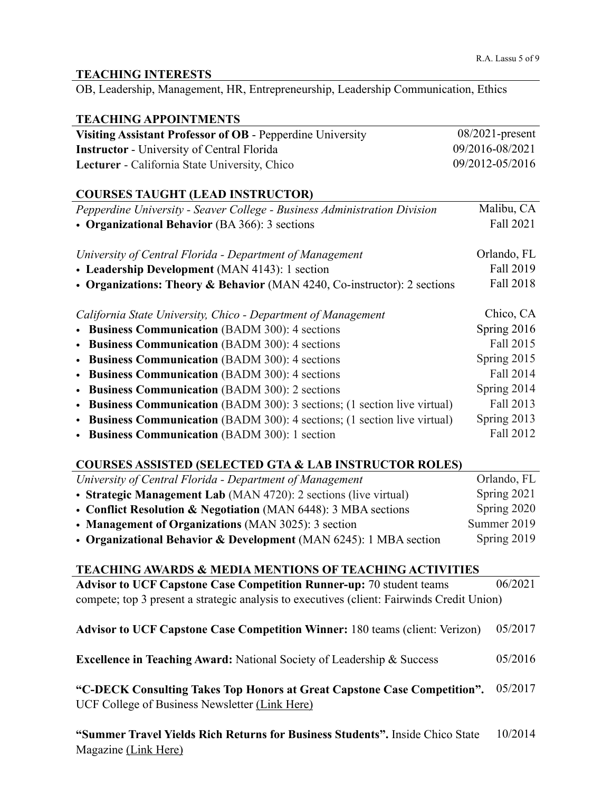#### **TEACHING INTERESTS**

OB, Leadership, Management, HR, Entrepreneurship, Leadership Communication, Ethics

### **TEACHING APPOINTMENTS**

| Visiting Assistant Professor of OB - Pepperdine University | $08/2021$ -present |
|------------------------------------------------------------|--------------------|
| <b>Instructor</b> - University of Central Florida          | 09/2016-08/2021    |
| <b>Lecturer</b> - California State University, Chico       | 09/2012-05/2016    |

## **COURSES TAUGHT (LEAD INSTRUCTOR)**

| Pepperdine University - Seaver College - Business Administration Division | Malibu, CA  |
|---------------------------------------------------------------------------|-------------|
| • Organizational Behavior (BA 366): 3 sections                            | Fall 2021   |
|                                                                           |             |
| University of Central Florida - Department of Management                  | Orlando, FL |
| • Leadership Development (MAN 4143): 1 section                            | Fall 2019   |
| • Organizations: Theory & Behavior (MAN 4240, Co-instructor): 2 sections  | Fall 2018   |
|                                                                           |             |
| California State University, Chico - Department of Management             | Chico, CA   |
| • Business Communication (BADM 300): 4 sections                           | Spring 2016 |
| • Business Communication (BADM 300): 4 sections                           | Fall 2015   |
| • Business Communication (BADM 300): 4 sections                           | Spring 2015 |
| • Business Communication (BADM 300): 4 sections                           | Fall 2014   |
| • Business Communication (BADM 300): 2 sections                           | Spring 2014 |
| • Business Communication (BADM 300): 3 sections; (1 section live virtual) | Fall 2013   |
| • Business Communication (BADM 300): 4 sections; (1 section live virtual) | Spring 2013 |
| • Business Communication (BADM 300): 1 section                            | Fall 2012   |

## **COURSES ASSISTED (SELECTED GTA & LAB INSTRUCTOR ROLES)**

| University of Central Florida - Department of Management          | Orlando, FL |
|-------------------------------------------------------------------|-------------|
| • Strategic Management Lab (MAN 4720): 2 sections (live virtual)  | Spring 2021 |
| • Conflict Resolution & Negotiation (MAN 6448): 3 MBA sections    | Spring 2020 |
| • Management of Organizations (MAN 3025): 3 section               | Summer 2019 |
| • Organizational Behavior & Development (MAN 6245): 1 MBA section | Spring 2019 |

#### **TEACHING AWARDS & MEDIA MENTIONS OF TEACHING ACTIVITIES Advisor to UCF Capstone Case Competition Runner-up:** 70 student teams compete; top 3 present a strategic analysis to executives (client: Fairwinds Credit Union) 06/2021

| Advisor to UCF Capstone Case Competition Winner: 180 teams (client: Verizon) 05/2017 |  |
|--------------------------------------------------------------------------------------|--|
|--------------------------------------------------------------------------------------|--|

**Excellence in Teaching Award:** National Society of Leadership & Success 05/2016

**"C-DECK Consulting Takes Top Honors at Great Capstone Case Competition".**  05/2017 UCF College of Business Newsletter [\(Link Here\)](https://business.ucf.edu/c-deck-consulting-takes-top-honorsat-great-capstone-case-competition/)

| "Summer Travel Yields Rich Returns for Business Students". Inside Chico State | 10/2014 |
|-------------------------------------------------------------------------------|---------|
| Magazine (Link Here)                                                          |         |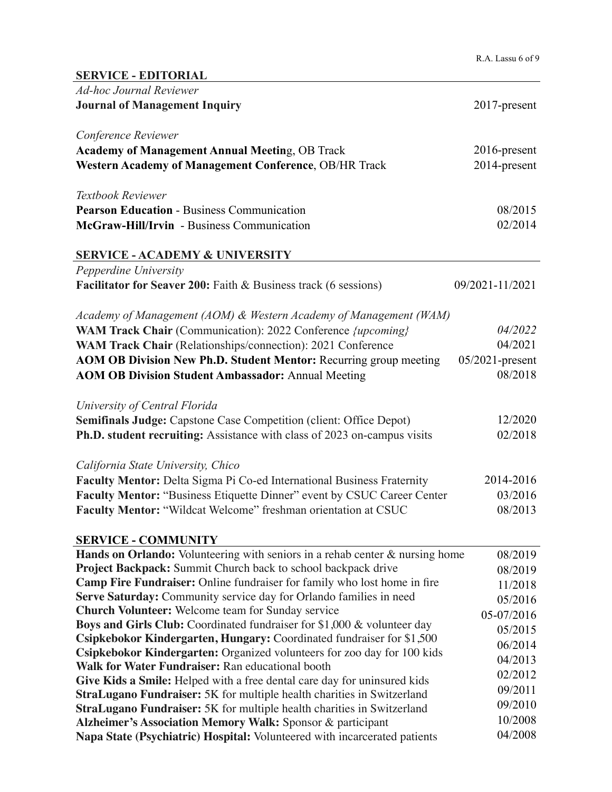| <b>SERVICE - EDITORIAL</b>                                                      |                    |
|---------------------------------------------------------------------------------|--------------------|
| <b>Ad-hoc Journal Reviewer</b>                                                  |                    |
| <b>Journal of Management Inquiry</b>                                            | 2017-present       |
|                                                                                 |                    |
| Conference Reviewer                                                             |                    |
| <b>Academy of Management Annual Meeting, OB Track</b>                           | 2016-present       |
| Western Academy of Management Conference, OB/HR Track                           | 2014-present       |
|                                                                                 |                    |
| Textbook Reviewer                                                               |                    |
|                                                                                 |                    |
| <b>Pearson Education - Business Communication</b>                               | 08/2015            |
| McGraw-Hill/Irvin - Business Communication                                      | 02/2014            |
| <b>SERVICE - ACADEMY &amp; UNIVERSITY</b>                                       |                    |
| Pepperdine University                                                           |                    |
| <b>Facilitator for Seaver 200: Faith &amp; Business track (6 sessions)</b>      | 09/2021-11/2021    |
|                                                                                 |                    |
| Academy of Management (AOM) & Western Academy of Management (WAM)               |                    |
| WAM Track Chair (Communication): 2022 Conference <i>{upcoming}</i>              | 04/2022            |
|                                                                                 | 04/2021            |
| WAM Track Chair (Relationships/connection): 2021 Conference                     |                    |
| AOM OB Division New Ph.D. Student Mentor: Recurring group meeting               | $05/2021$ -present |
| <b>AOM OB Division Student Ambassador: Annual Meeting</b>                       | 08/2018            |
|                                                                                 |                    |
| University of Central Florida                                                   |                    |
| <b>Semifinals Judge:</b> Capstone Case Competition (client: Office Depot)       | 12/2020            |
| Ph.D. student recruiting: Assistance with class of 2023 on-campus visits        | 02/2018            |
|                                                                                 |                    |
| California State University, Chico                                              |                    |
| Faculty Mentor: Delta Sigma Pi Co-ed International Business Fraternity          | 2014-2016          |
| Faculty Mentor: "Business Etiquette Dinner" event by CSUC Career Center         | 03/2016            |
| Faculty Mentor: "Wildcat Welcome" freshman orientation at CSUC                  | 08/2013            |
|                                                                                 |                    |
| <b>SERVICE - COMMUNITY</b>                                                      |                    |
| Hands on Orlando: Volunteering with seniors in a rehab center & nursing home    | 08/2019            |
| <b>Project Backpack:</b> Summit Church back to school backpack drive            | 08/2019            |
| <b>Camp Fire Fundraiser:</b> Online fundraiser for family who lost home in fire | 11/2018            |
| Serve Saturday: Community service day for Orlando families in need              | 05/2016            |
| <b>Church Volunteer:</b> Welcome team for Sunday service                        | 05-07/2016         |
| <b>Boys and Girls Club:</b> Coordinated fundraiser for \$1,000 & volunteer day  | 05/2015            |
| Csipkebokor Kindergarten, Hungary: Coordinated fundraiser for \$1,500           | 06/2014            |
| Csipkebokor Kindergarten: Organized volunteers for zoo day for 100 kids         |                    |
| Walk for Water Fundraiser: Ran educational booth                                | 04/2013            |
| Give Kids a Smile: Helped with a free dental care day for uninsured kids        | 02/2012            |
| <b>StraLugano Fundraiser:</b> 5K for multiple health charities in Switzerland   | 09/2011            |
| <b>StraLugano Fundraiser:</b> 5K for multiple health charities in Switzerland   | 09/2010            |
| Alzheimer's Association Memory Walk: Sponsor & participant                      | 10/2008            |
| Napa State (Psychiatric) Hospital: Volunteered with incarcerated patients       | 04/2008            |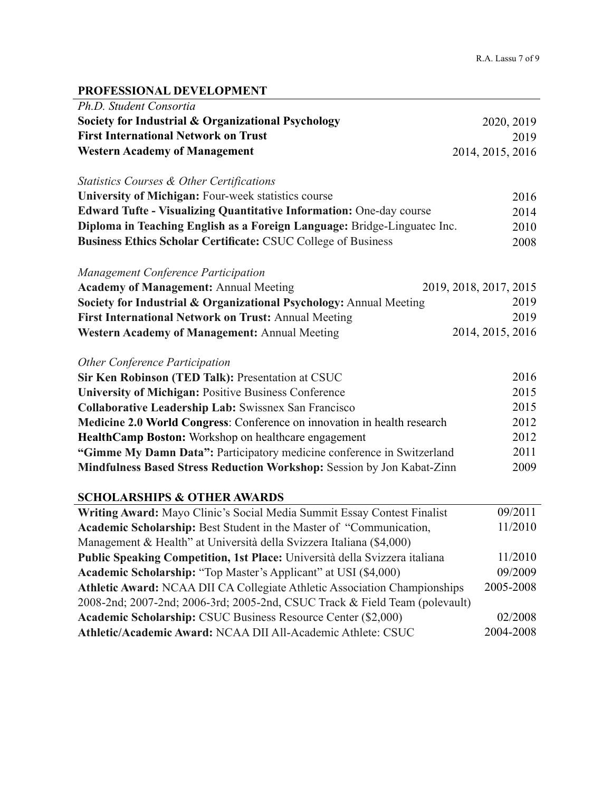## **PROFESSIONAL DEVELOPMENT**

| Ph.D. Student Consortia                                                     |                        |
|-----------------------------------------------------------------------------|------------------------|
| Society for Industrial & Organizational Psychology                          | 2020, 2019             |
| <b>First International Network on Trust</b>                                 | 2019                   |
| <b>Western Academy of Management</b>                                        | 2014, 2015, 2016       |
|                                                                             |                        |
| Statistics Courses & Other Certifications                                   |                        |
| University of Michigan: Four-week statistics course                         | 2016                   |
| Edward Tufte - Visualizing Quantitative Information: One-day course         | 2014                   |
| Diploma in Teaching English as a Foreign Language: Bridge-Linguatec Inc.    | 2010                   |
| <b>Business Ethics Scholar Certificate: CSUC College of Business</b>        | 2008                   |
| Management Conference Participation                                         |                        |
| <b>Academy of Management: Annual Meeting</b>                                | 2019, 2018, 2017, 2015 |
| Society for Industrial & Organizational Psychology: Annual Meeting          | 2019                   |
| First International Network on Trust: Annual Meeting                        | 2019                   |
| Western Academy of Management: Annual Meeting                               | 2014, 2015, 2016       |
|                                                                             |                        |
| Other Conference Participation                                              |                        |
| Sir Ken Robinson (TED Talk): Presentation at CSUC                           | 2016                   |
| <b>University of Michigan: Positive Business Conference</b>                 | 2015                   |
| <b>Collaborative Leadership Lab: Swissnex San Francisco</b>                 | 2015                   |
| Medicine 2.0 World Congress: Conference on innovation in health research    | 2012                   |
| HealthCamp Boston: Workshop on healthcare engagement                        | 2012                   |
| "Gimme My Damn Data": Participatory medicine conference in Switzerland      | 2011                   |
| Mindfulness Based Stress Reduction Workshop: Session by Jon Kabat-Zinn      | 2009                   |
|                                                                             |                        |
| <b>SCHOLARSHIPS &amp; OTHER AWARDS</b>                                      |                        |
| Writing Award: Mayo Clinic's Social Media Summit Essay Contest Finalist     | 09/2011                |
| Academic Scholarship: Best Student in the Master of "Communication,         | 11/2010                |
| Management & Health" at Università della Svizzera Italiana (\$4,000)        |                        |
| Public Speaking Competition, 1st Place: Università della Svizzera italiana  | 11/2010                |
| Academic Scholarship: "Top Master's Applicant" at USI (\$4,000)             | 09/2009                |
| Athletic Award: NCAA DII CA Collegiate Athletic Association Championships   | 2005-2008              |
| 2008-2nd; 2007-2nd; 2006-3rd; 2005-2nd, CSUC Track & Field Team (polevault) |                        |
| Academic Scholarship: CSUC Business Resource Center (\$2,000)               | 02/2008                |
| Athletic/Academic Award: NCAA DII All-Academic Athlete: CSUC                | 2004-2008              |
|                                                                             |                        |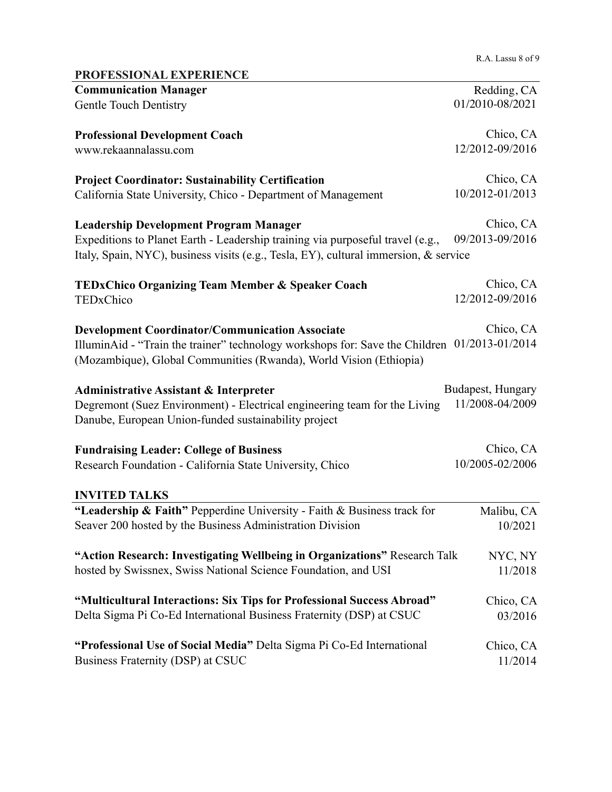R.A. Lassu 8 of 9

| PROFESSIONAL EXPERIENCE                                                                                                                                            |                      |
|--------------------------------------------------------------------------------------------------------------------------------------------------------------------|----------------------|
| <b>Communication Manager</b>                                                                                                                                       | Redding, CA          |
| <b>Gentle Touch Dentistry</b>                                                                                                                                      | 01/2010-08/2021      |
| <b>Professional Development Coach</b>                                                                                                                              | Chico, CA            |
| www.rekaannalassu.com                                                                                                                                              | 12/2012-09/2016      |
| <b>Project Coordinator: Sustainability Certification</b>                                                                                                           | Chico, CA            |
| California State University, Chico - Department of Management                                                                                                      | 10/2012-01/2013      |
| <b>Leadership Development Program Manager</b>                                                                                                                      | Chico, CA            |
| Expeditions to Planet Earth - Leadership training via purposeful travel (e.g.,                                                                                     | 09/2013-09/2016      |
| Italy, Spain, NYC), business visits (e.g., Tesla, EY), cultural immersion, & service                                                                               |                      |
| <b>TEDxChico Organizing Team Member &amp; Speaker Coach</b>                                                                                                        | Chico, CA            |
| TEDxChico                                                                                                                                                          | 12/2012-09/2016      |
| <b>Development Coordinator/Communication Associate</b>                                                                                                             | Chico, CA            |
| IlluminAid - "Train the trainer" technology workshops for: Save the Children 01/2013-01/2014<br>(Mozambique), Global Communities (Rwanda), World Vision (Ethiopia) |                      |
| <b>Administrative Assistant &amp; Interpreter</b>                                                                                                                  | Budapest, Hungary    |
| Degremont (Suez Environment) - Electrical engineering team for the Living<br>Danube, European Union-funded sustainability project                                  | 11/2008-04/2009      |
| <b>Fundraising Leader: College of Business</b>                                                                                                                     | Chico, CA            |
| Research Foundation - California State University, Chico                                                                                                           | 10/2005-02/2006      |
| <b>INVITED TALKS</b>                                                                                                                                               |                      |
| "Leadership & Faith" Pepperdine University - Faith & Business track for                                                                                            | Malibu, CA           |
| Seaver 200 hosted by the Business Administration Division                                                                                                          | 10/2021              |
| "Action Research: Investigating Wellbeing in Organizations" Research Talk                                                                                          | NYC, NY              |
| hosted by Swissnex, Swiss National Science Foundation, and USI                                                                                                     | 11/2018              |
| "Multicultural Interactions: Six Tips for Professional Success Abroad"                                                                                             | Chico, CA            |
| Delta Sigma Pi Co-Ed International Business Fraternity (DSP) at CSUC                                                                                               | 03/2016              |
| "Professional Use of Social Media" Delta Sigma Pi Co-Ed International<br>Business Fraternity (DSP) at CSUC                                                         | Chico, CA<br>11/2014 |